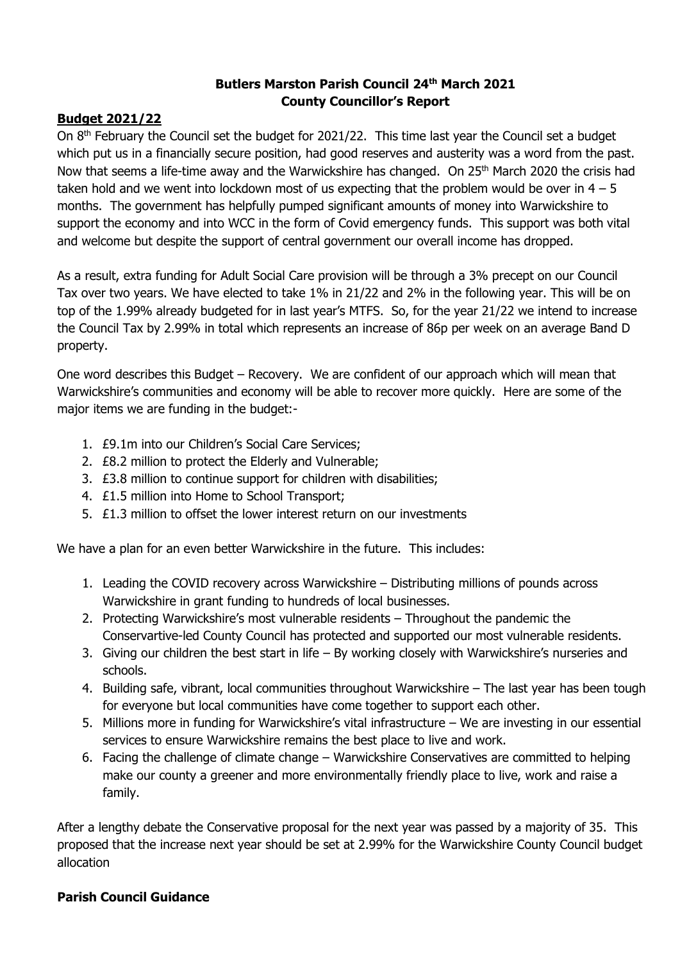# **Butlers Marston Parish Council 24 th March 2021 County Councillor's Report**

#### **Budget 2021/22**

On 8<sup>th</sup> February the Council set the budget for 2021/22. This time last year the Council set a budget which put us in a financially secure position, had good reserves and austerity was a word from the past. Now that seems a life-time away and the Warwickshire has changed. On 25<sup>th</sup> March 2020 the crisis had taken hold and we went into lockdown most of us expecting that the problem would be over in  $4 - 5$ months. The government has helpfully pumped significant amounts of money into Warwickshire to support the economy and into WCC in the form of Covid emergency funds. This support was both vital and welcome but despite the support of central government our overall income has dropped.

As a result, extra funding for Adult Social Care provision will be through a 3% precept on our Council Tax over two years. We have elected to take 1% in 21/22 and 2% in the following year. This will be on top of the 1.99% already budgeted for in last year's MTFS. So, for the year 21/22 we intend to increase the Council Tax by 2.99% in total which represents an increase of 86p per week on an average Band D property.

One word describes this Budget – Recovery. We are confident of our approach which will mean that Warwickshire's communities and economy will be able to recover more quickly. Here are some of the major items we are funding in the budget:-

- 1. £9.1m into our Children's Social Care Services;
- 2. £8.2 million to protect the Elderly and Vulnerable;
- 3. £3.8 million to continue support for children with disabilities;
- 4. £1.5 million into Home to School Transport;
- 5.  $\pm$ 1.3 million to offset the lower interest return on our investments

We have a plan for an even better Warwickshire in the future. This includes:

- 1. Leading the COVID recovery across Warwickshire Distributing millions of pounds across Warwickshire in grant funding to hundreds of local businesses.
- 2. Protecting Warwickshire's most vulnerable residents Throughout the pandemic the Conservartive-led County Council has protected and supported our most vulnerable residents.
- 3. Giving our children the best start in life By working closely with Warwickshire's nurseries and schools.
- 4. Building safe, vibrant, local communities throughout Warwickshire The last year has been tough for everyone but local communities have come together to support each other.
- 5. Millions more in funding for Warwickshire's vital infrastructure We are investing in our essential services to ensure Warwickshire remains the best place to live and work.
- 6. Facing the challenge of climate change Warwickshire Conservatives are committed to helping make our county a greener and more environmentally friendly place to live, work and raise a family.

After a lengthy debate the Conservative proposal for the next year was passed by a majority of 35. This proposed that the increase next year should be set at 2.99% for the Warwickshire County Council budget allocation

#### **Parish Council Guidance**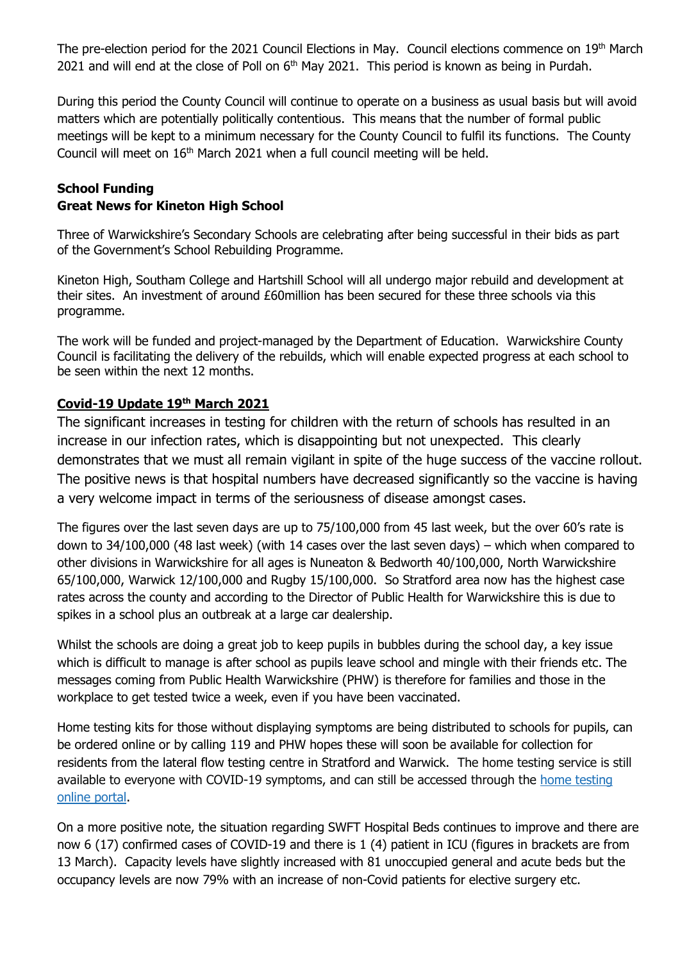The pre-election period for the 2021 Council Elections in May. Council elections commence on 19th March 2021 and will end at the close of Poll on  $6<sup>th</sup>$  May 2021. This period is known as being in Purdah.

During this period the County Council will continue to operate on a business as usual basis but will avoid matters which are potentially politically contentious. This means that the number of formal public meetings will be kept to a minimum necessary for the County Council to fulfil its functions. The County Council will meet on 16<sup>th</sup> March 2021 when a full council meeting will be held.

# **School Funding**

## **Great News for Kineton High School**

Three of Warwickshire's Secondary Schools are celebrating after being successful in their bids as part of the Government's School Rebuilding Programme.

Kineton High, Southam College and Hartshill School will all undergo major rebuild and development at their sites. An investment of around £60million has been secured for these three schools via this programme.

The work will be funded and project-managed by the Department of Education. Warwickshire County Council is facilitating the delivery of the rebuilds, which will enable expected progress at each school to be seen within the next 12 months.

## **Covid-19 Update 19 th March 2021**

The significant increases in testing for children with the return of schools has resulted in an increase in our infection rates, which is disappointing but not unexpected. This clearly demonstrates that we must all remain vigilant in spite of the huge success of the vaccine rollout. The positive news is that hospital numbers have decreased significantly so the vaccine is having a very welcome impact in terms of the seriousness of disease amongst cases.

The figures over the last seven days are up to 75/100,000 from 45 last week, but the over 60's rate is down to 34/100,000 (48 last week) (with 14 cases over the last seven days) – which when compared to other divisions in Warwickshire for all ages is Nuneaton & Bedworth 40/100,000, North Warwickshire 65/100,000, Warwick 12/100,000 and Rugby 15/100,000. So Stratford area now has the highest case rates across the county and according to the Director of Public Health for Warwickshire this is due to spikes in a school plus an outbreak at a large car dealership.

Whilst the schools are doing a great job to keep pupils in bubbles during the school day, a key issue which is difficult to manage is after school as pupils leave school and mingle with their friends etc. The messages coming from Public Health Warwickshire (PHW) is therefore for families and those in the workplace to get tested twice a week, even if you have been vaccinated.

Home testing kits for those without displaying symptoms are being distributed to schools for pupils, can be ordered online or by calling 119 and PHW hopes these will soon be available for collection for residents from the lateral flow testing centre in Stratford and Warwick. The home testing service is still available to everyone with COVID-19 symptoms, and can still be accessed through the home [testing](https://eur02.safelinks.protection.outlook.com/?url=https%3A%2F%2Fwww.gov.uk%2Fget-coronavirus-test&data=04%7C01%7Cchriswilliams%40warwickshire.gov.uk%7Cbd779f0fda3547ec71b808d8eb10a082%7C88b0aa0659274bbba89389cc2713ac82%7C0%7C0%7C637517803932554734%7CUnknown%7CTWFpbGZsb3d8eyJWIjoiMC4wLjAwMDAiLCJQIjoiV2luMzIiLCJBTiI6Ik1haWwiLCJXVCI6Mn0%3D%7C1000&sdata=y2KAC3S1Ce%2BoEYNW0m4JHCoMSENzcYnvev3%2Fbkl6oOw%3D&reserved=0) online [portal.](https://eur02.safelinks.protection.outlook.com/?url=https%3A%2F%2Fwww.gov.uk%2Fget-coronavirus-test&data=04%7C01%7Cchriswilliams%40warwickshire.gov.uk%7Cbd779f0fda3547ec71b808d8eb10a082%7C88b0aa0659274bbba89389cc2713ac82%7C0%7C0%7C637517803932554734%7CUnknown%7CTWFpbGZsb3d8eyJWIjoiMC4wLjAwMDAiLCJQIjoiV2luMzIiLCJBTiI6Ik1haWwiLCJXVCI6Mn0%3D%7C1000&sdata=y2KAC3S1Ce%2BoEYNW0m4JHCoMSENzcYnvev3%2Fbkl6oOw%3D&reserved=0)

On a more positive note, the situation regarding SWFT Hospital Beds continues to improve and there are now 6 (17) confirmed cases of COVID-19 and there is 1 (4) patient in ICU (figures in brackets are from 13 March). Capacity levels have slightly increased with 81 unoccupied general and acute beds but the occupancy levels are now 79% with an increase of non-Covid patients for elective surgery etc.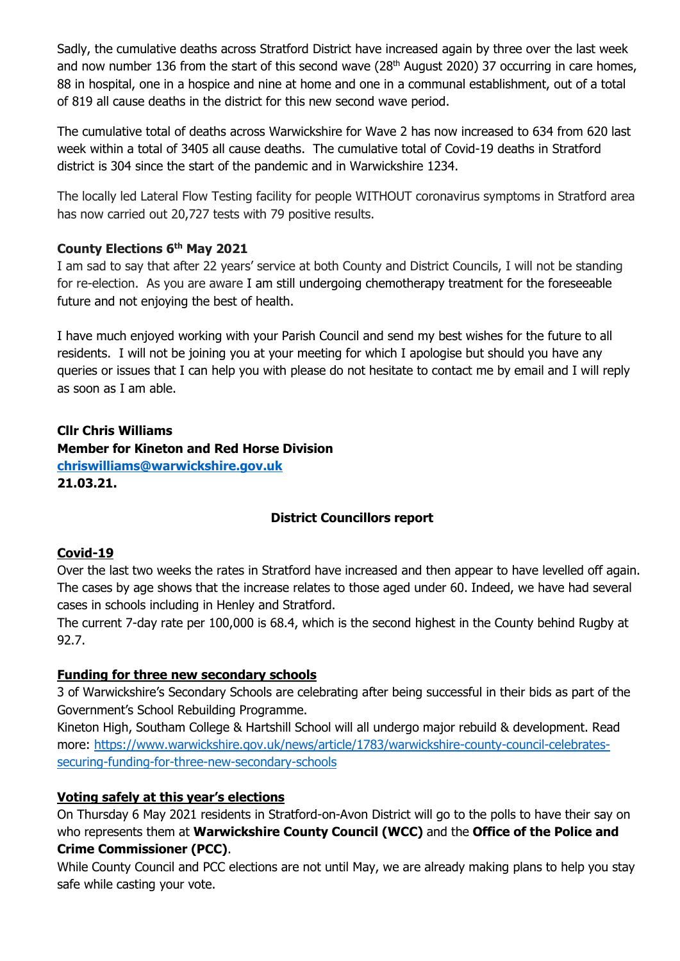Sadly, the cumulative deaths across Stratford District have increased again by three over the last week and now number 136 from the start of this second wave (28<sup>th</sup> August 2020) 37 occurring in care homes, 88 in hospital, one in a hospice and nine at home and one in a communal establishment, out of a total of 819 all cause deaths in the district for this new second wave period.

The cumulative total of deaths across Warwickshire for Wave 2 has now increased to 634 from 620 last week within a total of 3405 all cause deaths. The cumulative total of Covid-19 deaths in Stratford district is 304 since the start of the pandemic and in Warwickshire 1234.

The locally led Lateral Flow Testing facility for people WITHOUT coronavirus symptoms in Stratford area has now carried out 20,727 tests with 79 positive results.

## **County Elections 6th May 2021**

I am sad to say that after 22 years' service at both County and District Councils, I will not be standing for re-election. As you are aware I am still undergoing chemotherapy treatment for the foreseeable future and not enjoying the best of health.

I have much enjoyed working with your Parish Council and send my best wishes for the future to all residents. I will not be joining you at your meeting for which I apologise but should you have any queries or issues that I can help you with please do not hesitate to contact me by email and I will reply as soon as I am able.

# **Cllr Chris Williams Member for Kineton and Red Horse Division [chriswilliams@warwickshire.gov.uk](mailto:chriswilliams@warwickshire.gov.uk) 21.03.21.**

# **District Councillors report**

#### **Covid-19**

Over the last two weeks the rates in Stratford have increased and then appear to have levelled off again. The cases by age shows that the increase relates to those aged under 60. Indeed, we have had several cases in schools including in Henley and Stratford.

The current 7-day rate per 100,000 is 68.4, which is the second highest in the County behind Rugby at 92.7.

#### **Funding for three new secondary schools**

3 of Warwickshire's Secondary Schools are celebrating after being successful in their bids as part of the Government's School Rebuilding Programme.

Kineton High, Southam College & Hartshill School will all undergo major rebuild & development. Read more: [https://www.warwickshire.gov.uk/news/article/1783/warwickshire-county-council-celebrates](https://www.warwickshire.gov.uk/news/article/1783/warwickshire-county-council-celebrates-securing-funding-for-three-new-secondary-schools)[securing-funding-for-three-new-secondary-schools](https://www.warwickshire.gov.uk/news/article/1783/warwickshire-county-council-celebrates-securing-funding-for-three-new-secondary-schools)

# **Voting safely at this year's elections**

On Thursday 6 May 2021 residents in Stratford-on-Avon District will go to the polls to have their say on who represents them at **Warwickshire County Council (WCC)** and the **Office of the Police and Crime Commissioner (PCC)**.

While County Council and PCC elections are not until May, we are already making plans to help you stay safe while casting your vote.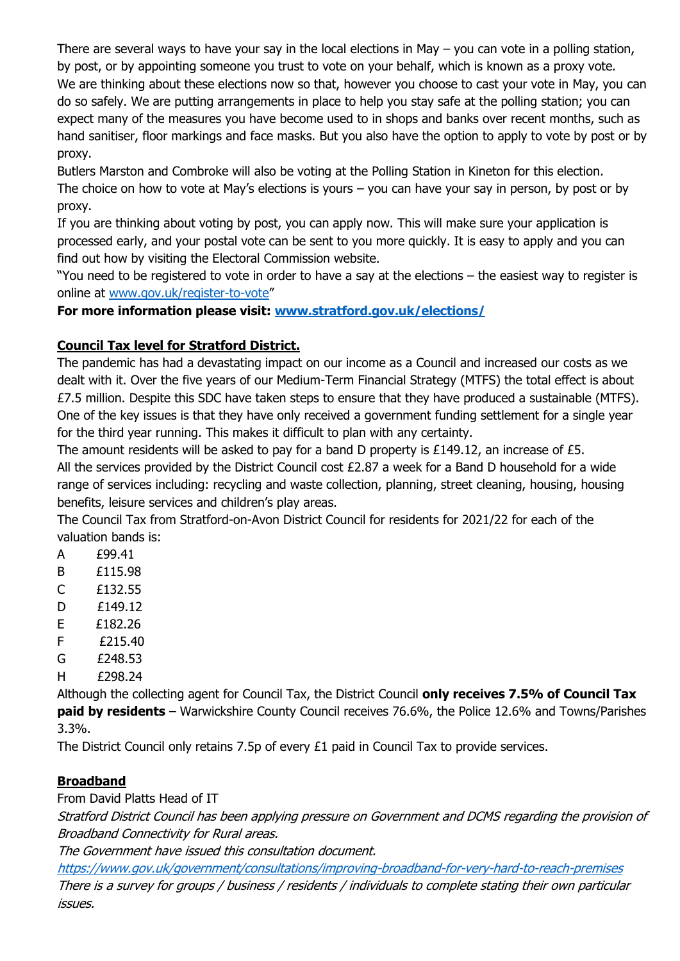There are several ways to have your say in the local elections in May – you can vote in a polling station, by post, or by appointing someone you trust to vote on your behalf, which is known as a proxy vote. We are thinking about these elections now so that, however you choose to cast your vote in May, you can do so safely. We are putting arrangements in place to help you stay safe at the polling station; you can expect many of the measures you have become used to in shops and banks over recent months, such as hand sanitiser, floor markings and face masks. But you also have the option to apply to vote by post or by proxy.

Butlers Marston and Combroke will also be voting at the Polling Station in Kineton for this election. The choice on how to vote at May's elections is yours – you can have your say in person, by post or by proxy.

If you are thinking about voting by post, you can apply now. This will make sure your application is processed early, and your postal vote can be sent to you more quickly. It is easy to apply and you can find out how by visiting the Electoral Commission website.

"You need to be registered to vote in order to have a say at the elections – the easiest way to register is online at [www.gov.uk/register-to-vote](http://www.gov.uk/register-to-vote)"

**For more information please visit: [www.stratford.gov.uk/elections/](https://gbr01.safelinks.protection.outlook.com/?url=http%3A%2F%2Fwww.stratford.gov.uk%2Felections%2F&data=04|01|Beverley.Hemming%40stratford-dc.gov.uk|74df239e6c204135551e08d8d99c1340|ea0773dc0dec4c50a4c9bc26a247ed21|1|0|637498611641331485|Unknown|TWFpbGZsb3d8eyJWIjoiMC4wLjAwMDAiLCJQIjoiV2luMzIiLCJBTiI6Ik1haWwiLCJXVCI6Mn0%3D|1000&sdata=AcxMCoM%2By%2FjuePj2jKGtFPye2B3eQdpnMUk7M%2BsUHrY%3D&reserved=0)**

# **Council Tax level for Stratford District.**

The pandemic has had a devastating impact on our income as a Council and increased our costs as we dealt with it. Over the five years of our Medium-Term Financial Strategy (MTFS) the total effect is about £7.5 million. Despite this SDC have taken steps to ensure that they have produced a sustainable (MTFS). One of the key issues is that they have only received a government funding settlement for a single year for the third year running. This makes it difficult to plan with any certainty.

The amount residents will be asked to pay for a band D property is £149.12, an increase of £5. All the services provided by the District Council cost £2.87 a week for a Band D household for a wide range of services including: recycling and waste collection, planning, street cleaning, housing, housing benefits, leisure services and children's play areas.

The Council Tax from Stratford-on-Avon District Council for residents for 2021/22 for each of the valuation bands is:

- A £99.41
- B £115.98
- C £132.55
- D £149.12
- E £182.26
- F £215.40
- G £248.53
- H £298.24

Although the collecting agent for Council Tax, the District Council **only receives 7.5% of Council Tax** 

**paid by residents** – Warwickshire County Council receives 76.6%, the Police 12.6% and Towns/Parishes 3.3%.

The District Council only retains 7.5p of every £1 paid in Council Tax to provide services.

# **Broadband**

From David Platts Head of IT

Stratford District Council has been applying pressure on Government and DCMS regarding the provision of Broadband Connectivity for Rural areas.

The Government have issued this consultation document.

[https://www.gov.uk/government/consultations/improving-broadband-for-very-hard-to-reach-premises](https://gbr01.safelinks.protection.outlook.com/?url=https%3A%2F%2Fwww.gov.uk%2Fgovernment%2Fconsultations%2Fimproving-broadband-for-very-hard-to-reach-premises&data=04|01|Christopher.Mills%40stratford-dc.gov.uk|4402d1dd3df2428f979608d8eb14f2e4|ea0773dc0dec4c50a4c9bc26a247ed21|1|0|637517822497929347|Unknown|TWFpbGZsb3d8eyJWIjoiMC4wLjAwMDAiLCJQIjoiV2luMzIiLCJBTiI6Ik1haWwiLCJXVCI6Mn0%3D|1000&sdata=53KrBk%2FGGYSklUVhKs4%2FMvkfeSUDk6Lc4azxSlP3H1g%3D&reserved=0) There is a survey for groups / business / residents / individuals to complete stating their own particular issues.